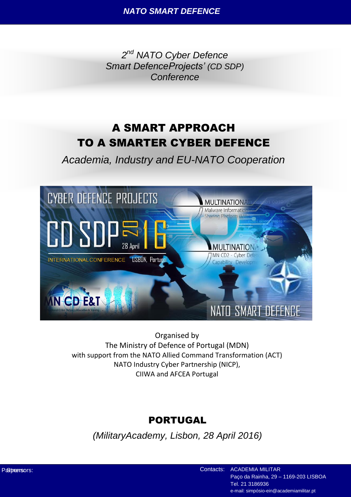*2 nd NATO Cyber Defence Smart DefenceProjects' (CD SDP) Conference*

# A SMART APPROACH TO A SMARTER CYBER DEFENCE

*Academia, Industry and EU-NATO Cooperation*



Organised by The Ministry of Defence of Portugal (MDN) with support from the NATO Allied Command Transformation (ACT) NATO Industry Cyber Partnership (NICP), CIIWA and AFCEA Portugal

## PORTUGAL

*(MilitaryAcademy, Lisbon, 28 April 2016)*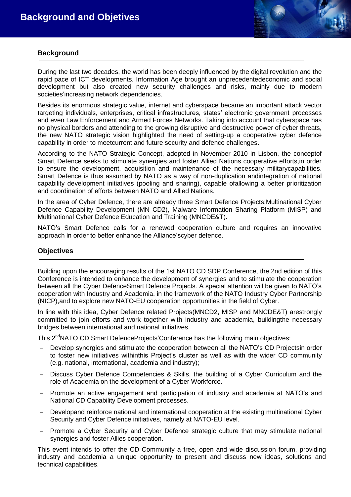

### **Background**

During the last two decades, the world has been deeply influenced by the digital revolution and the rapid pace of ICT developments. Information Age brought an unprecedentedeconomic and social development but also created new security challenges and risks, mainly due to modern societies'increasing network dependencies.

Besides its enormous strategic value, internet and cyberspace became an important attack vector targeting individuals, enterprises, critical infrastructures, states' electronic government processes and even Law Enforcement and Armed Forces Networks. Taking into account that cyberspace has no physical borders and attending to the growing disruptive and destructive power of cyber threats, the new NATO strategic vision highlighted the need of setting-up a cooperative cyber defence capability in order to meetcurrent and future security and defence challenges.

According to the NATO Strategic Concept, adopted in November 2010 in Lisbon, the conceptof Smart Defence seeks to stimulate synergies and foster Allied Nations cooperative efforts,in order to ensure the development, acquisition and maintenance of the necessary militarycapabilities. Smart Defence is thus assumed by NATO as a way of non-duplication andintegration of national capability development initiatives (pooling and sharing), capable ofallowing a better prioritization and coordination of efforts between NATO and Allied Nations.

In the area of Cyber Defence, there are already three Smart Defence Projects:Multinational Cyber Defence Capability Development (MN CD2), Malware Information Sharing Platform (MISP) and Multinational Cyber Defence Education and Training (MNCDE&T).

NATO's Smart Defence calls for a renewed cooperation culture and requires an innovative approach in order to better enhance the Alliance'scyber defence.

### **Objectives**

Building upon the encouraging results of the 1st NATO CD SDP Conference, the 2nd edition of this Conference is intended to enhance the development of synergies and to stimulate the cooperation between all the Cyber DefenceSmart Defence Projects. A special attention will be given to NATO's cooperation with Industry and Academia, in the framework of the NATO Industry Cyber Partnership (NICP),and to explore new NATO-EU cooperation opportunities in the field of Cyber.

In line with this idea, Cyber Defence related Projects(MNCD2, MISP and MNCDE&T) arestrongly committed to join efforts and work together with industry and academia, buildingthe necessary bridges between international and national initiatives.

This 2<sup>nd</sup>NATO CD Smart DefenceProjects'Conference has the following main objectives:

- Develop synergies and stimulate the cooperation between all the NATO's CD Projectsin order to foster new initiatives withinthis Project's cluster as well as with the wider CD community (e.g. national, international, academia and industry);
- Discuss Cyber Defence Competencies & Skills, the building of a Cyber Curriculum and the role of Academia on the development of a Cyber Workforce.
- Promote an active engagement and participation of industry and academia at NATO's and National CD Capability Development processes.
- Developand reinforce national and international cooperation at the existing multinational Cyber Security and Cyber Defence initiatives, namely at NATO-EU level.
- Promote a Cyber Security and Cyber Defence strategic culture that may stimulate national synergies and foster Allies cooperation.

This event intends to offer the CD Community a free, open and wide discussion forum, providing industry and academia a unique opportunity to present and discuss new ideas, solutions and technical capabilities.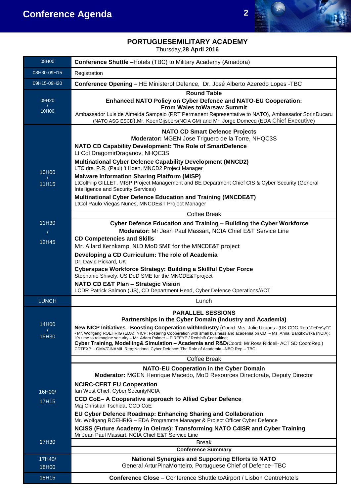

## **PORTUGUESEMILITARY ACADEMY**

Thursday,**28 April 2016**

| 08H00             | <b>Conference Shuttle - Hotels (TBC) to Military Academy (Amadora)</b>                                                                                                                                                                                                                                                                                                                                                                                                                                                                                                                                                                                                        |
|-------------------|-------------------------------------------------------------------------------------------------------------------------------------------------------------------------------------------------------------------------------------------------------------------------------------------------------------------------------------------------------------------------------------------------------------------------------------------------------------------------------------------------------------------------------------------------------------------------------------------------------------------------------------------------------------------------------|
| 08H30-09H15       | Registration                                                                                                                                                                                                                                                                                                                                                                                                                                                                                                                                                                                                                                                                  |
| 09H15-09H20       | Conference Opening - HE Ministerof Defence, Dr. José Alberto Azeredo Lopes - TBC                                                                                                                                                                                                                                                                                                                                                                                                                                                                                                                                                                                              |
| 09H20<br>10H00    | <b>Round Table</b><br><b>Enhanced NATO Policy on Cyber Defence and NATO-EU Cooperation:</b><br><b>From Wales toWarsaw Summit</b><br>Ambassador Luis de Almeida Sampaio (PRT Permanent Representative to NATO), Ambassador SorinDucaru<br>(NATO ASG ESCD), Mr. KoenGijsbers (NCIA GM) and Mr. Jorge Domecq (EDA Chief Executive)                                                                                                                                                                                                                                                                                                                                               |
| 10H00<br>11H15    | <b>NATO CD Smart Defence Projects</b><br>Moderator: MGEN Jose Triguero de la Torre, NHQC3S<br>NATO CD Capability Development: The Role of SmartDefence<br>Lt Col DragomirDraganov, NHQC3S<br><b>Multinational Cyber Defence Capability Development (MNCD2)</b><br>LTC drs. P.R. (Paul) 't Hoen, MNCD2 Project Manager<br><b>Malware Information Sharing Platform (MISP)</b><br>LtColFilip GILLET, MISP Project Management and BE Department Chief CIS & Cyber Security (General<br>Intelligence and Security Services)<br><b>Multinational Cyber Defence Education and Training (MNCDE&amp;T)</b><br>LtCol Paulo Viegas Nunes, MNCDE&T Project Manager<br><b>Coffee Break</b> |
| 11H30             | Cyber Defence Education and Training - Building the Cyber Workforce                                                                                                                                                                                                                                                                                                                                                                                                                                                                                                                                                                                                           |
| $\prime$<br>12H45 | Moderator: Mr Jean Paul Massart, NCIA Chief E&T Service Line<br><b>CD Competencies and Skills</b><br>Mr. Allard Kernkamp, NLD MoD SME for the MNCDE&T project<br>Developing a CD Curriculum: The role of Academia<br>Dr. David Pickard, UK<br><b>Cyberspace Workforce Strategy: Building a Skillful Cyber Force</b><br>Stephanie Shively, US DoD SME for the MNCDE&Tproject<br><b>NATO CD E&amp;T Plan - Strategic Vision</b><br>LCDR Patrick Salmon (US), CD Department Head, Cyber Defence Operations/ACT                                                                                                                                                                   |
| <b>LUNCH</b>      | Lunch                                                                                                                                                                                                                                                                                                                                                                                                                                                                                                                                                                                                                                                                         |
| 14H00<br>15H30    | <b>PARALLEL SESSIONS</b><br>Partnerships in the Cyber Domain (Industry and Academia)<br>New NICP Initiatives- Boosting Cooperation withIndustry (Coord: Mrs. Julie Uzupris - (UK CDC Rep.)DePoSyTE<br>- Mr. Wolfgang ROEHRIG (EDA); NICP: Fostering Cooperation with small business and academia on CD - Ms, Anna Barcikowska (NCIA);<br>It's time to reimagine security - Mr. Adam Palmer - FIREEYE / Redshift Consulting;<br>Cyber Training, Modelling& Simulation - Academia and R&D(Coord: Mr.Ross Riddell- ACT SD CoordRep.)<br>CDTEXP - GMV/CINAMIL Rep;;National Cyber Defence: The Role of Academia -NBO Rep - TBC                                                    |
|                   | <b>Coffee Break</b>                                                                                                                                                                                                                                                                                                                                                                                                                                                                                                                                                                                                                                                           |
| 16H00/            | <b>NATO-EU Cooperation in the Cyber Domain</b><br>Moderator: MGEN Henrique Macedo, MoD Resources Directorate, Deputy Director<br><b>NCIRC-CERT EU Cooperation</b><br>Ian West Chief, Cyber SecurityNCIA                                                                                                                                                                                                                                                                                                                                                                                                                                                                       |
| 17H15             | CCD CoE- A Cooperative approach to Allied Cyber Defence<br>Maj Christian Tschida, CCD CoE<br>EU Cyber Defence Roadmap: Enhancing Sharing and Collaboration<br>Mr. Wolfgang ROEHRIG - EDA Programme Manager & Project Officer Cyber Defence<br>NCISS (Future Academy in Oeiras): Transforming NATO C4ISR and Cyber Training<br>Mr Jean Paul Massart, NCIA Chief E&T Service Line                                                                                                                                                                                                                                                                                               |
| 17H30             | <b>Break</b>                                                                                                                                                                                                                                                                                                                                                                                                                                                                                                                                                                                                                                                                  |
|                   | <b>Conference Summary</b>                                                                                                                                                                                                                                                                                                                                                                                                                                                                                                                                                                                                                                                     |
| 17H40/<br>18H00   | <b>National Synergies and Supporting Efforts to NATO</b><br>General ArturPinaMonteiro, Portuguese Chief of Defence-TBC                                                                                                                                                                                                                                                                                                                                                                                                                                                                                                                                                        |
| 18H15             | <b>Conference Close</b> – Conference Shuttle toAirport / Lisbon CentreHotels                                                                                                                                                                                                                                                                                                                                                                                                                                                                                                                                                                                                  |